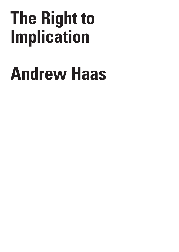## **The Right to Implication**

## **Andrew Haas**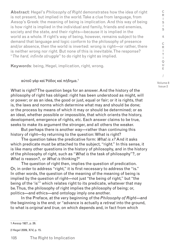**Abstract**: Hegel's *Philosophy of Right* demonstrates how the idea of right is not present, but implied in the world.Take a clue from language, from Aesop's Greek: the meaning of being is implication. And this way of being is how right is implied in the individual and family, friends and enemies, society and the state, and their rights—because it is implied in the world as a whole. If right's way of being, however, remains subject to the demand that language and logic conform to the philosophy of presence and/or absence, then the world is inverted: wrong is right—or rather, there is neither wrong nor right. But none of this is inevitable. The response? "*The hard, infinite struggle*" to do right by right as implied.

**Keywords**: being, Hegel, implication, right, wrong.

## αὐτοῦ γὰρ καὶ Ῥόδος καὶ πήδημα. 1

What is right? The question begs for an answer. And the history of the philosophy of right has obliged: right has been understood as might, will or power; or as an idea, the good or just, equal or fair; or it is rights, that is, the laws and norms which determine what may and should be done; or the process by means of which it may or should be determined; or as an ideal, whether possible or impossible, that which orients the history, development, emergence of rights, etc. Each answer claims to be true, seeks to make its argument the stronger, and all others the weaker.

But perhaps there is another way—rather than continuing this history of right—by returning to the question: What is right?

The question takes the predicative form: *What is x?* And it asks which predicate must be attached to the subject, "right." In this sense, it is like many other questions in the history of philosophy, and in the history of the philosophy of right, such as "*What is* the task of philosophy"?, or *What is* reason?, or *What is* thinking?<sup>2</sup>

The question of right then, implies the question of predication. Or, in order to address "right," it is first necessary to address the "is." In other words, the question of the meaning of the meaning of being is implied by the question of right—not just "the being of right," but "the being of the 'is'" which relates right to its predicate, whatever that may be. Thus, the philosophy of right implies the philosophy of being; or, politics—and ethics—and ontology imply one another.

In the Preface, at the very beginning of the *Philosophy of Right*—and the beginning is the end; or "advance is actually a *retreat* into the ground, to what is *original* and *true*, on which depends and, in fact from which

2 Hegel 2009, XIV, p. 15.

/ Volume 8

C R I S I S & C R I T I Q U E

Issue 2

<sup>1</sup> Aesop 1927, p. 26.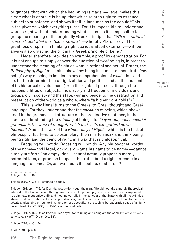originates, that with which the beginning is made"—Hegel makes this clear: what is at stake is being, that which relates right to its essence, subject to substance, and shows itself in language as the copula. ${}^{3}$ This is the pivot on which everything turns. For it is impossible to understand what is right without understanding what is; just as it is impossible to grasp the meaning of the originally Greek principle that "*What* is *rational*  is *actual; and what* is *actual* is *rational*"—whereby Plato "proved his greatness of spirit" in thinking right *qua* idea, albeit externally—without always also grasping the originally Greek principle of being.4

Hegel, therefore, provides an example, a proof by demonstration. For it is not enough to simply answer the question of *what* being is, in order to understand the meaning of right as what is rational and actual. Rather, the *Philosophy of Right* must also show *how* being is; it must demonstrate *how* being's way of being is implied in any comprehension of *what* it is—and so, for the determination of right, ethics and politics, and all the moments of its historical development (from the rights of persons, through the responsibilities of subjects, the slavery and freedom of individuals and groups, civil society and the state, war and peace, to the destruction and preservation of the world as a whole, where "a higher right holds"). $5$ 

This is why Hegel turns to the Greeks, to Greek thought and Greek language. For they understand that the *speaking* of being, which shows itself in the grammatical structure of the predicative sentence, is the clue to understanding the *thinking* of being—for "*layed-out, consequential grammar is the work of thought, which makes its categories known therein.*"6 And if the task of the *Philosophy of Right*—which is the task of philosophy itself—is to be exemplary; then it is to speak and think being, being right and the being of right, in a way that is philosophical.

Bragging will not do. Boasting will not do. Any philosopher worthy of the name—and Hegel, obviously, wants his name to be named—cannot simply put forth "an empty ideal," cannot actually propose a merely potential idea, or promise to speak the truth about a right-to-come in a language to come.<sup>7</sup> Or, as Twain puts it: "put up, or shut up."<sup>8</sup>

3 Hegel 1832, p. 43.

4 Hegel 2009, XIV, p. 14, emphasis added.

5 Hegel 1994, pp. 147-8. As Derrida notes—for Hegel the man: "He did not take a merely theoretical interest in the transmission, through instruction, of a philosophy whose rationality was supposed to culminate most universally and most powerfully in the concept of the State, with all the wrinkles, stakes, and convolutions of such a 'paradox.' Very quickly and very 'practically,' he found himself *implicated*, advancing or foundering, more or less speedily, in the techno-bureaucratic space of a highly determined State" (1990, pp. 184-5; emphasis added).

6 Hegel 1994, p. 166. Or, as Parmenides says: "for thinking and being are the same [τὸ γὰρ αὐτὸ νοεῖν ἐστίν τε καὶ εἶναι]" (Diels 1960, B3).

7 Hegel 2009, XIV, p. 14.

8 Twain 1917, p. 398.

I S & C R I T I Q U E / Volume 8 Issue 2

C R I S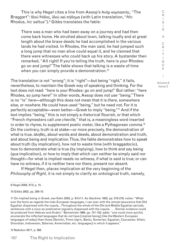This is why Hegel cites a line from Aesop's Ἀνὴρ κομπαστής, "The Braggart": Ἰδοὺ Ῥόδος, ἰδοὺ καὶ πήδημα (with Latin translation, "*Hic* Rhodus, *hic* saltus").9 Gibbs translates the fable:

There was a man who had been away on a journey and had then come back home. He strutted about town, talking loudly and at great length about the brave deeds he had accomplished in the various lands he had visited. In Rhodes, the man said, he had jumped such a long jump that no man alive could equal it, and he claimed that there were witnesses who could back up his story. A bystander then remarked, "All right! If you're telling the truth, here is your Rhodes: go on and jump!" The fable shows that talking is a waste of time when you can simply provide a demonstration.<sup>10</sup>

The translation is not "wrong"; it is "right"—but being "right," it fails, nevertheless, to maintain the Greek way of speaking and thinking. For the text does not read: "here is your Rhodes: go on and jump!" But rather: "here Rhodes, so jump here!" In other words, Aesop does not use "being." There is no "is" *here*—although this does not mean that it is *there*, somewhere else, or nowhere. He could have used "being," but he need not. For it is perfectly acceptable—even better—Greek to imply "being."11 And if the text implies "being," this is not simply a rhetorical flourish, or that which "French rhymesters call *une cheville,*" that is, a meaningless word inserted in order to rhyme, to supplement poetic meter, like a Pythagorean comma.<sup>12</sup> On the contrary, truth is at stake—or more precisely, the demonstration of what is true, ἀληθές, about words and deeds, about demonstration and truth, and about being and implication. Thus, the fable demonstrates how to speak about truth (by implication), how not to waste time (with braggadocio), how to demonstrate what is true (by implying), how to think and say being (*qua* implication), or how to imply that which can neither be simply said nor thought—for what is implied needs no witness, if what is said is true; or can have no witness, if it is neither here nor there, present nor absent.

If Hegel then, places implication at the very beginning of the *Philosophy of Right*, it is not simply to clarify an ontological truth, namely,

9 Hegel 2009, XIV, p. 15.

10 Gibbs 2002, pp. 209-10.

11 On implied being in Greek, see Kahn 2003, p. XIIn11. As Gardiner 1932, pp. 218-219, notes: "Whatever the facts as regards the Indo-European languages, I can aver with the utmost assurance that Old Egyptian dispensed with the copula…Throughout the whole of the Old and Middle Egyptian periods, sentences with a noun as predicative regularly dispensed with the copula. . . . Similar evidence could be produced from Hebrew and Arabic." Benveniste 1966, pp. 151-152, adds: "one could more quickly enumerate the inflected languages that do not have [implied being] (like the Western European languages of today) than those [Semitic, Finno-Ugric, Bantu, Sumerian, Egyptian, Caucasian, Altaic, Dravidian, Indonesian, Siberian, Amerindian, etc. languages] in which it appears."

12 Nabokov 2011, p. 566.

C R I S I S & C R I T I Q U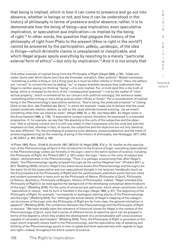that being is implied, which is how it can come to presence and go out into absence, whether in beings or not, and how it can be understood in the history of philosophy in terms of presence and/or absence; rather, it is to demonstrate how the being of being—*qua* implication, even speculative implication, or speculation *qua* implication—is implied by the being of right.13 In other words, the question that plagues the history of the philosophy of right from Plato to the present (How is right in the world?) cannot be answered by the participation, μέθεξις, μετάληψις, of the idea in things—which Aristotle claims is unexplained or inexplicable, and which Hegel argues spoils everything by resorting to a merely "particular *external* form of ethics"—but only by implication.14 And it is not simply that

13 Another example of implied being from the *Philosophy of Right* (Hegel 2009, p. 56): "*etwas* entweder *Sache* oder *Nicht-Sache [sei] (wie das* Entweder *unendlich,* Oder *endlich*)." Nisbet translates: "something is *either* a thing *or* not a thing (just as it must be *either* infinite *or* finite)." Here, the editors are "correct" to correct the text by adding "*sei*" in square-brackets because they understand that Hegel is neither saying nor thinking "being"—it is only implied. For, in truth (and this is the truth of being, which is revealed by the form of the "consequential grammar"—not by the matter of "intellectual property," which is immaterial for our concern with political ontology), the sentence reads: "something *either* a thing *or* not a thing (just as *either* infinite *or* finite)." For a consideration of implied being in the *Phenomenology's* speculative sentence, "*God is being*, the predicate [implied "is"] being [*Gott ist das Sein*, das Prädikat *das* Sein]," in which the example "leads one to believe that the usual subject-predicate relation obtains, as well as the usual attitude towards knowing…be we meant something other than we meant to mean" (Hegel 2009, IX, p. 44), see Haas 2021. As Hegel notes in the *Encyclopedia* (1986, p. 178): "a speculative content cannot, therefore, be expressed in a onesided proposition. If, for example, we say that 'the absolute is the unity of the subjective and the objective,' that is certainly correct; but it is still one-sided, in that it expresses only the *unity* and puts the emphasis on that, whereas in fact, of course, the subjective and the objective are not only identical, but also different." For the privileging of presence (over absence, presence/absence, and the event of presencing/absencing) as the meaning of being in the history of philosophy, see Heidegger 1977, *GA2*, p. 26; *GA6.2*, p. 403; *GA24*, p. 448.

14 Plato 1903, *Parm*, 151e6-8; Aristotle 1957, 987b10-14; Hegel 2009, XIV, p. 14. Insofar as the speculation of the *Phenomenology of Spirit* is the introduction to the *Science of Logic*, everything (speculative) in the *Phenomenology* comes out formally in the *Logic*—and in the entire system of science, including the *Philosophy of Right*. As Pinkard (2017, p. 241) notes: the *Logic* "rests on the unity of subject and object…demonstrated in the *Phenomenology."* Thus, it is perhaps unsurprising that, after Hegel's death, "the *Phenomenology* rapidly eclipsed the *Logic* as the central Hegelian text" (Pinkard 2017, p. 227). Redding (2018) concurs: Hegel's two stand-alone books (the *Phenomenology* and the *Logic*) are the basis for all the (speculative and non-speculative) thought in his lectures, handbooks (such as the *Encyclopedia* and the *Philosophy of Right*) and the posthumously published works (lecture notes and student summaries in texts such as the *Philosophy* of *Nature*, *Philosophy of Spirit, Philosophy of History*, *Aesthetics*, *Philosophy of Religion*, *History of Philosophy*). Indeed, "Hegel intended [the *Philosophy of Right*] to be read against the background of the developing conceptual determinations of the *Logic*" (Redding 2018). For the unity of universal and particular, which alone constitutes truth, is "speculative in nature," and its form is handled in the *Logic* (Hegel 1994, p. 87). The beginning of the *Philosophy of Right*, for example, "corresponds to analogous starting places of the *Phenomenology* and the *Logic"* (Redding 2018). For "although the actual details of Hegel's mapping of the categorical structures of the *Logic* onto the *Philosophy of Right* are far from clear, the general motivation is apparent*"* (Redding 2018). The connection between the *Phenomenology* and the *Philosophy of Right* is obvious: "We have already seen the relevance of historical issues for Hegel in the context of the *Phenomenology of Spirit*, such that a series of different forms of objective spirit can be grasped in terms of the degree to which they enable the development of a universalizable self-consciousness capable of rationality and freedom" (Redding 2018). Thus, the *Philosophy of Right* is grounded on the *Logic* which originally shows itself in the *Phenomenology*, and the speculative way of speaking and thinking of the *Phenomenology* points to how to speak and think speculatively with regards to logic and right—indeed, throughout the entire system of science.

I S  $\mathbf{I}$ S & C R I T I Q U E / Volume 8

C R

Issue 2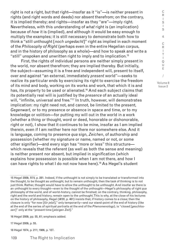right is not a right, but that right—insofar as it "is"—is neither present in rights (and right words and deeds) nor absent therefrom; on the contrary, it is implied thereby; and rights—insofar as they "are"—imply right. Nevertheless, with this understanding of *what* right is (an implication) because of *how* it is (implied), and although it would be easy enough to multiply the examples; it is still necessary to demonstrate both how to think a "still unthought [*noch ungedacht*]" right as implied in each moment of the *Philosophy of Right* (perhaps even in the entire Hegelian corpus, and in the history of philosophy as a whole)—and how to speak and write a "still" unspoken and unwritten right to imply and to implication.<sup>15</sup>

First, the rights of individual persons are neither simply present in the world, nor absent therefrom; they are implied thereby. But initially, the subject—assuming it is a free and independent will, present to itself, over and against "an external, immediately *present* world"—seeks to realize its particular ends by exercising its right to exercise the freedom of its mind and body, working on its works and work, that which it is and has, its property to be used or alienated.<sup>16</sup> And each subject claims that its potentially real will is justified by the *presence* of an actually ideal will, "infinite, universal and free."<sup>17</sup> In truth, however, will demonstrates implication: my right need not, and cannot, be limited to the present, *Gegenwart*, or to my presence or absence in space and time, or to my knowledge or volition—for putting my will out in the world in a work (whether a thing or thought, word or deed, honorable or dishonorable, right or not), I show that it continues to be mine, insofar as I am implied therein, even if I am neither here nor there nor somewhere else. And it is language, coming to presence *qua* sign, *Zeichen*, of authorship and possession (whether my signature or name, named or not, or some other signifier)—and every sign has "more or less" this structure which reveals that the referent (as well as both the sense and meaning) is neither present nor absent, but implied in signification (which explains how possession is possible when I am not there, and how I can have rights to what I do not now have here).<sup>18</sup> As Hegel's student

16 Hegel 2009, pp. 55, 61; emphasis added.

17 Hegel 2009, p. 55.

................................

18 Hegel 1974, p. 211; 1986, p. 127.

I S I S & C R I T I Q U E / Volume 8 Issue 2

C R

<sup>15</sup> Hegel 2009, XIV, p. 281. Indeed, if the unthought is not simply to be translated or transformed into the thought, to be thought as unthought, but to remain unthought, then the task of thinking is to not just think. Rather, thought would have to allow the unthought to be unthought. And insofar as there is an unthought to every thought—even to the thought of the unthought—Hegel's philosophy of right *qua* philosophy of the world, and of world-history, cannot be finished; on the contrary, thinking, philosophy, right and the world and history, remain open to the unthought. This is why, at the close of his lectures on the history of philosophy, Hegel (*W20*, p. 461) insists that, if history comes to a close; then the closure is only "for now [*für jetzt*]," only temporarily—and our stand-point of the end of history (like at the end of the series of spiritual portraits at the end of the *Phenomenology*), is "closed [*geschlossen*]" only at the "present time [*jetzigen Zeit*]."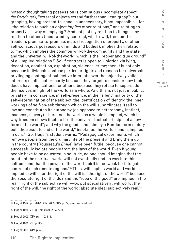notes: although taking possession is continuous (incomplete aspect, *die Fortdauer*), "external objects extend further than I can grasp"; but grasping, having present-to-hand, is unnecessary, if not impossible—for "the relation to such an object *implies* other relations," and relating to property is a way of implying.19 And not just my relation to things—my relation to others (meditated by contract, will-to-will, freedom-tofreedom, promise-to-promise, mutual recognition of property, of other self-conscious possessors of minds and bodies), implies their relation to me, which implies the common will-of-the-community and the state and the universal will-of-the-world, which is the "proper and true ground" of all implied relations.<sup>20</sup> So, if contract is open to violation via lying, deception, domination, exploitation, violence, crime; then it is not only because individuals confuse particular rights and reasons for universals, privileging contingent-subjective interests over the objectively valid interests of all—but primarily because they forget to consider how their deeds have implications for others, because they refuse to supersede themselves in light of the world as a whole. And this is not just in public: privately, in conscience, in self-presence, in the "silent" majority of the self-determination of the subject, the identification of identity, the inner workings of self-on-self through which the will subordinates itself to law and constitutes its autonomy (as opposed to heteronomy, instinct, madness, slavery)—here too, the world as a whole is implied, which is why freedom shows itself to be "the universal actual principle of a new form of the world"; and why the good is not simply a Kantian form of duty, but "the absolute end of the world," insofar as the world's end is implied in ours.<sup>21</sup> So, Hegel's student warns: "Pedagogical experiments which remove people from the ordinary life of the present and bring them up in the country (Rousseau's *Emile*) have been futile, because one cannot successfully isolate people from the laws of the world. Even if young people have to be educated in solitude, no one should imagine that the breath of the spiritual-world will not eventually find its way into this solitude and that the power of the world-spirit is too weak for it to gain control of such remote regions."<sup>22</sup> Thus, will implies world and world is implied in will—for the right of the will is "the right of the world" because the absolute right of the idea and the "idea of the good" are implied in the real "right of the subjective will"—or, put speculatively: will world; the right of the will, the right of the world; absolute ideal subjectively real.<sup>23</sup>

19 Hegel 1974, pp. 204-5, 212; 2009, XIV, p. 77, emphasis added.

22 Hegel 1986, VII, p. 304.

23 Hegel 2009, XIV, p. 48.

<sup>20</sup> Hegel 1986, VII, p. 159; 2009, XIV, p. 85.

<sup>21</sup> Hegel 2009, XIV, pp. 110, 114.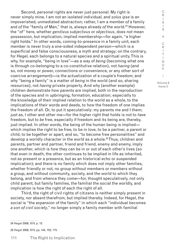Second, personal rights are never just personal. My right is never simply mine. I am not an isolated individual, and *solus ipse* is an impoverished, unmediated abstraction; rather, I am a member *of* a family and *of* the "family of Man," that is, always already *of* the world.<sup>24</sup> However, the "of" here, whether *genitivus subjectivus* or *objectivus*, does not mean possession, but implication, implied membership—for again, "a higher right holds." In other words, coming-to-presence in a family unit, each member is never truly a one-sided independent person—which is a superficial and false consciousness, a myth and strategy; on the contrary, for Hegel, each belongs to a natural species and a spiritual unity. This is why, for example, "being in love"—as a way of *being* (becoming what one is through co-belonging to a co-constitutive relation), not *having* (and so, not money or power, connections or convenience, or any other sort of coercive arrangement)—is the actualization of a couple's freedom; and why "being a family" is a matter of *being* in the world (and so, sharing resources), not *having* private property. And why (another example) children demonstrate how parents are implied, both in the reproduction of the species and in upbringing, formation, education; especially to the knowledge of their implied relation to the world as a whole, to the implications of their words and deeds, to how the freedom of one implies the freedom of all. Or, to put it speculatively: my parents me and I them; just as, I other and other me—for the higher right that holds is not to *have* freedom, but to *be* free, especially if freedom and its being are, thereby, just implied. In other words, the being of the human being is implied which implies the right to be free, to be in love, to be a partner, a parent or child, to be together or apart, and so, "to become free personalities" and develop a worldly character in the world as a whole.<sup>25</sup> Thus, children and parents, partner and partner, friend and friend, enemy and enemy, imply one another, which is how they can be in or out of each other's lives (so that even in death, the other continues to be implied in life as inherited, not as present or a presence, but as an historical echo or suspended implication); and there is no family which does not imply other families, whether friendly or not, no group without members or members without a group, and without community, society, and the world to which they belong, and from whence they come—for, thought speculatively, not only child parent, but family families, the familial the social the worldly, and implication is how the right of each the right of all.

Third, the right of civil rights of citizens is neither simply present in society, nor absent therefrom, but implied thereby. Indeed, for Hegel, the social is "the expansion of the family" in which each "individual becomes *a son of civil society*," no longer simply a family member with familial

24 Hegel 2009, XIV, p. 15.

25 Hegel 2009, XIV, pp. 144, 155, 175.

R I S I S & C R I T I Q U E / Volume 8 Issue 2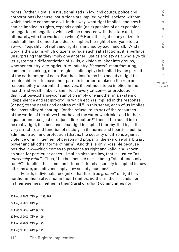rights. Rather, right is institutionalized (in law and courts, police and corporations) because institutions are implied by civil society, without which society cannot be civil. In this way, what right implies, and how it can be implied in rights, expands again (an expansion of an expansion, or negation of negation, which will be repeated with the state and, ultimately, with the world as a whole). $26$  Here, the right of any citizen to seek fulfillment of need and desire implies the right of everyone to do so—or, "equality" of right and rights is implied by each and all. $27$  And if work is the way in which citizens pursue such satisfactions, it is perhaps unsurprising that they imply one another; just as society as a whole (with its systematic differentiation of skills, division of labor into groups, whether country-city, agriculture-industry, *Handwerk*-manufacturing, commerce-banking, or art-religion-philosophy) is implied by the pursuit of the satisfaction of each. But then, insofar as it is society's right to require children to leave their parents in order to take up the role and responsibility of parents themselves, it continues to be implied in the health and wealth, liberty and life, of every citizen—for productiondistribution-exchange-consumption imply one another in a system of "dependence and reciprocity" in which each is implied in the response (or not) to the needs and desires of all. $^{28}$  In this sense, each of us implies the "possibility of sharing" (or the refusal to do so) of the resources of the world, of the air we breathe and the water we drink—and in their equal or unequal, just or unjust, distribution.29 Then, if the social is to be really right, it is because ideal right is implied thereby, that is, in the very structure and function of society, in its norms and liberties, public administration and protection (that is, the security of citizens against violence or infringement of person and property, the exercise of arbitrary power and all other forms of harm). And this is only possible because positive law—which comes to presence as right and valid, and known as such for particular cases—implies absolute law, that is, justice "as *universally valid*."30 Thus, "the business *of one*"—being "simultaneously for *all*"—implies the "common interest"; for civil society is implied in how citizens are, and citizens imply how society must be.<sup>31</sup>

Fourth, individuals recognize that the "true *ground*" of right lies neither in themselves nor in their families, neither in their friends nor in their enemies, neither in their (rural or urban) communities nor in

26 Hegel 2009, XIV, pp. 158, 192.

- 27 Hegel 2009, XIV, p. 167.
- 28 Hegel 2009, XIV, p. 169.
- 29 Hegel 2009, XIV, p. 169.
- 30 Hegel 2009, XIV, p. 175.
- 31 Hegel 2009, XIV, p. 141.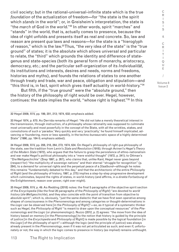civil society; but in the rational-universal-infinite state which is the true *foundation* of the actualization of freedom—for "the state is the spirit which *stands* in the world"; or, in Greisheim's interpretation, the state is "the *march* of God in the world."32 In other words, spirit "marches" and "stands" in the world, that is, actually comes to presence, because the idea of right unfolds and presents itself as real and concrete. So, law and reason are present *qua* laws and reasons—for the state is a "hieroglyph of reason," which is the law.33 Thus, "the very idea of the state" is the "true ground" of states; it is the absolute which allows universal and particular to relate, the "third" which grounds the identity and difference of stategenus and state-species (both its general form of monarchy, aristocracy, democracy, etc.; and the particular self-organization of its *Individualität*, its institutions and interests, desires and needs, norms and freedoms, histories and myths), and founds the relations of states to one another through treaty and trade, war and peace, obligation and stipulation—and "this third is, in fact, spirit which gives itself actuality in world-history."34

But fifth, if the "true ground" were the "absolute ground," then the history of the philosophy of right would be over. Hegel, however, continues: the state implies the world, "whose right is highest."35 In this

32 Hegel 2009, XIV, pp. 199, 201, 213; 1974, 632; emphasis added.

33 Hegel 1974, p. 670. As Derrida remarks of Hegel: "He did not take a merely theoretical interest in the transmission, through instruction, of a philosophy whose rationality was supposed to culminate most universally and most powerfully in the concept of the State, with all the wrinkles, stakes, and convolutions of such a 'paradox.' Very quickly and very 'practically,' he found himself *implicated*, advancing or foundering, more or less speedily, in the techno-bureaucratic space of a highly determined State" (1990, pp. 184-5; emphasis added).

34 Hegel 2009, XIV, pp. 208, 218, 264, 273; 1974, 634. On Hegel's philosophy of right *qua* philosophy of the state, see the tradition from Lenin's *State and Revolution* (1918); through Avineri's *Hegel's Theory of the Modern State* (1972), who argues that the failure to grasp the persistence of ethno-nationalism and war make Hegel's political philosophy into a "mere wishful thought" (1972, p. 241); to Ottman's "Die Weltgeschichte" (Siep 1997, p. 267), who claims that, unlike Kant, Hegel never goes beyond (respect for) "the multiplicity of sovereign nations" and their eternal "struggle for recognition" (p. 284), to a demand for universal rights and the perpetual peace of a *Staatbund*—although he notes this remains "fundamentally debated to this day," and that the architectonic of the entire *Philosophy of Right* (and the philosophy of history, 1997, p. 275) implies a step-by-step progressive development which culminates, beyond the rights of states, in world-history (and affirms, in a *direkte Fortsetzung* of the Enlightenment, reason over power, right over might).

35 Hegel 2009, XIV, p. 49. As Redding (2018) notes: the final 5 paragraphs of the objective spirit section of the *Encyclopedia* (like the final 20 paragraphs of the *Philosophy of Right*) "are devoted to *world history* (*die Weltgeschichte*), and they also coincide with the point of transition from objective to *absolute* spirit"; which is, obviously, "just the same dialectic that we have first seen operative among shapes of consciousness in the *Phenomenology* and among categories or thought-determinations in the *Logic* can be observed here [in the *Philosophy of Right*]"—so, as it typical of a systematic thinker such as Hegel, the *Philosophy of Right* "is meant to draw upon the conceptual resources" of the *Phenomenology* and the *Logic* (or phenomenologic). Nuzzo (2012, p. 2) agrees: "the move from the idea of history based on memory [in the *Phenomenology*] to the notion that history is guided by the principle of justice [in the *Encyclopedia* and *Philosophy of Right*] is made possible by the logical foundation [in the *Logic*] of the philosophy of spirit"—although the logic (and the principle of justice) was always already present in the *Phenomenology*, even if it was not yet articulated as such; and even if, unfortunately or not, the way in which the logic comes to presence in history (as implied) remains unthought.

C R I S  $\mathbf{I}$ S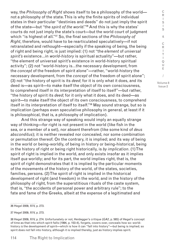way, the *Philosophy of Right* shows itself to be a philosophy of the world not a philosophy of the state. This is why the finite spirits of individual states in their particular "destinies and deeds" do not just imply the spirit of the state—but "the *spirit of the world*."36 And this is why the states' courts do not just imply the state's court—but the world court of judgment which "is highest of all."37 So, the final sections of the *Philosophy of Right*, therefore, would have to be rearticulated speculatively—if not retranslated and rethought—especially if the speaking of being, the being of right and being right, is just implied: (1) not "the *element* of *universal spirit's* existence…in *world-history* is spiritual actuality"—but rather, "the element of universal spirit's existence in world-history spiritual activity"; (2) not "world-history is…the necessary development, from the *concept* of the freedom of spirit alone"—rather, "world-history the necessary development, from the *concept* of the freedom of spirit alone"; (3) not "the history of spirit is its *deed*; for it is only what it does, and its deed is—as spirit—to make itself the object of its own consciousness, to comprehend itself in its interpretation of itself to itself"—but rather, "the history of spirit its *deed*; for it only what it does, and its deed—as spirit—to make itself the object of its own consciousness, to comprehend itself in its interpretation of itself to itself."38 May sound strange, but so is implication (perhaps even speculative philosophy in general, at least if it is philosophical, that is, a philosophy of implication).

And this strange way of speaking would imply an equally strange way of thinking—for right is not present in the world (like fish in the sea, or a member of a set), nor absent therefrom (like some kind of *deus absconditus*); it is neither revealed nor concealed, nor some combination or permutation thereof. On the contrary, it is implied; and its way of being in the world or being-worldly, of being in history or being-historical, being in the history of right or being right historically, is *by implication*. (1) The spirit of right is implied in the world, and only exists insofar as it implies itself *qua* worldly; and for its part, the world implies right, that is, the spirit of right demonstrates that it is implied by the particular moments of the movements of the history of the world, of the states, societies, families, persons. (2) The spirit of right is implied in the historical development of right (and freedom) in the world, and in the history of the philosophy of right, from the superstitious rituals of the caste system, that is, "the accidents of personal power and arbitrary rule"; to the fate and fame of the Greeks, albeit at the expense of a legitimated and

Issue 2

C R I

<sup>36</sup> Hegel 2009, XIV, p. 273.

<sup>37</sup> Hegel 2009, XIV, p. 273.

<sup>38</sup> Hegel 2009, XIV, p. 274. Unfortunately or not, Heidegger's critique (*GA2*, p. 565) of Hegel's concept of time as that into which spirit falls (1994, p. 153-4), forgets, covers over, conceals how so: worldhistory *is* the development of spirit—which is how it can "fall into history"—but being is implied; so spirit does not fall into history, although it is implied thereby, just as history implies spirit.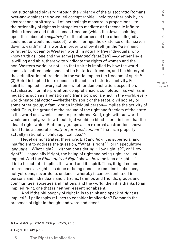institutionalized slavery; through the violence of the aristocratic Romans over-and-against the so-called corrupt rabble, "held together only by an abstract and arbitrary-will of increasingly monstrous proportions"; to the rationality of right as it struggles to mediate and reconcile infinitedivine freedom and finite-human freedom (which the Jews, insisting upon the "absolute *negativity*" of the otherness of the other, allegedly could not or would not accept), which "brings the existence of its heaven down to earth" in this world, in order to show itself (in the "Germanic," or rather European or Western world) in actually free individuals, who know truth as "one and the same [*einer und derselben*]"—whether Hegel is willing and able, thereby, to vindicate the rights of women and the non-Western world, or not—so that spirit is implied by how the world comes to self-consciousness of its historical freedom, and the history of the actualization of freedom in the world implies the freedom of spirit.<sup>39</sup> (3) Spirit is implied in its deeds, in its acts, in historical activity. For spirit is implied in every action—whether demonstration, exposition, actualization, or interpretation, comprehension, completion, as well as in negations such as alienation and transition; so, any act in the world, every world-historical action—whether by spirit or the state, civil society or some other group, a family or an individual person—implies the activity of spirit. Thus, the ground of the ground of the right and freedom of the state is the world as a whole—and, to paraphrase Kant, right without world would be empty, world without right would be blind—for it is here that the idea of right, which Plato only grasps as an external abstraction, shows itself to be a concrete "*unity of form and content*," that is, a properly actually-rationally "philosophical idea."40

Hegel demonstrates, therefore, *that* and *how* it is superficial and insufficient to address the question, "What is right?", or in speculative language, "What right?", without considering "How right is?", or "How right?"—especially if right, the being of right and being right, are just implied. And the *Philosophy of Right* shows *how* the idea of right—if it is to be actual—implies the world and its spirit. Thus, if right comes to presence as rights, as done or being done—or remains in absence, not-yet-done, never-done, undone—whereby it can present itself in persons and individuals and citizens, families and friends, groups and communities, societies and nations, and the world; then it is thanks to an implied right, one that is neither present nor absent.

And if the philosophy of right fails to think and speak of right as implied? If philosophy refuses to consider implication? Demands the presence of right in thought and word and deed?

39 Hegel 2009, pp. 279-282; 1986, pp. 420-22; 9.316.

40 Hegel 2009, XIV, p. 16.

R I S I S & C R I T I Q U E / Volume 8

Issue 2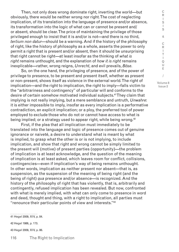Then, not only does wrong dominate right, inverting the world—but obviously, there would be neither wrong nor right. The cost of neglecting implication, of its translation into the language of presence and/or absence, its transformation into the logic of what can or cannot be present and/ or absent, should be clear. The price of maintaining the privilege of those privileged enough to insist that it is and/or is not—and there is no third, *tertium non datur*—should be a warning. And if the history of the philosophy of right, like the history of philosophy as a whole, asserts the power to only permit a right that is present and/or absent, then it should be unsurprising that right cannot be right—at least insofar as the thinking of *what is right* remains unthought, and the explanation of *how it is right* remains inexplicable—rather, wrong reigns, *Unrecht*, and evil prevails, *Böse*.

So, on the one hand, the privileging of presence, and of the power of privilege to presence, to be present and present itself, whether as present or non-present, shows itself as violence in the external world. The right of implication—and the right to implication, the right to imply—falls victim to the "arbitrariness and contingency" of particular will and conforms to the desire of certain somehow motivated individual subjects.41 They claim that implying is not really implying, but a mere semblance and untruth, *Unwahre*: it is either impossible to imply, insofar as every implication is a performative contradiction, an explicit implication; or a ploy, the preferred tool of power employed to exclude those who do not or cannot have access to what is being implied; or a strategy used to appear right, while being wrong.<sup>42</sup>

First, if the plea that all implication must immediately to be translated into the language and logic of presence comes out of genuine ignorance or naiveté, a desire to understand what is meant by what is implied, to grasp what the other is or is not implying, to include implication, and show that right and wrong cannot be simply limited to the present will (motive) of present parties (opportunity)—the problem of implication is at least acknowledge, and the question of the meaning of implication is at least asked, which leaves room for conflict, collisions, contingencies—even if implication's way of being remains unthought. In other words, implication as neither present nor absent—that is, as suspension, as the suspension of the meaning of being right (and the being of right) *qua* presence and/or absence—is recognized. And the history of the philosophy of right that has violently, that is, arbitrarily and contingently, refused implication has been revealed. But now, confronted with what is merely implied, with what can only come to presence in word and deed, thought and thing, with a right to implication, all parties must "renounce their particular points of view and interests."43

41 Hegel 2009, XIV, p. 84.

42 Hegel 1986, p. 173.

43 Hegel 2009, XIV, p. 86.

R I S I S & C R I T I Q U E / Volume 8 Issue 2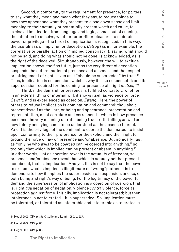Second, if conformity to the requirement for presence, for parties to say what they mean and mean what they say, to reduce things to how they appear and what they present, to close down sense and limit meaning to their actually or potentially present worth and value, to excise all implication from language and logic, comes out of cunning, the intention to deceive, whether for profit or pleasure, to maintain power or privilege—the threat of implication is recognized. In this way, the usefulness of implying for deception, *Betrug* (as in, for example, the correlative or parallel action of "implied conspiracy"), saying what should not be said, and doing what should not be done, is acknowledged, as is the right of the deceived. Simultaneously, however, the will to exclude implication shows itself as futile, just as the very threat of deception suspends the determination of presence and absence, and the respect or infringement of right—even as it "should be superseded" by trust.<sup>44</sup> Thus, implication is suspension, which is why it is so suspenseful; and its supersession required for the coming-to-presence of "right *in itself*."45

Third, if the demand for presence is fulfilled concretely, whether in an external thing or internal will, it shows itself as violence or force, *Gewalt,* and is experienced as coercion, *Zwang*. Here, the power of others to refuse implication is domination and command: thou shalt present thyself as thou art, or being and appearance, presentation and representation, must correlate and correspond—which is how presence becomes the very meaning of truth, being true, truth-telling; as well as how falsity and lying come to be understood as the absence thereof. And it is the privilege of the dominant to coerce the dominated, to insist upon conformity to their preference for the explicit, and their right to ground the force of law on presence and/or absence. But ironically, just as "only he who *wills* to be *coerced* can be coerced into anything," so too only that which is implied can be present or absent in anything.<sup>46</sup> In other words, just as coercion reveals the actuality of freedom, so presence and/or absence reveal that which is actually neither present nor absent, that is, implication. And yet, this is not to say that the power to exclude what is implied is illegitimate or "wrong"; rather, it is to demonstrate how it implies the supersession of suspension, and so, of both being and right's way of being. For the legitimacy of the power to demand the supersession of implication is a coercion of coercion, that is, right *qua* negation of negation, violence *contra* violence, force as protection against force. Initially, implication is not tolerated; but then, intolerance is not tolerated—it is superseded. So, implication must be tolerated, or tolerated as intolerable and intolerable as tolerated, a

44 Hegel 2009, XIV, p. 87; Kittelle and Lamb 1950, p. 227.

46 Hegel 2009, XIV, p. 88.

<sup>45</sup> Hegel 2009, XIV, p. 86.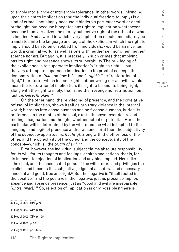tolerable intolerance or intolerable tolerance. In other words, infringing upon the right to implication (and the individual freedom to imply) is a kind of crime—not simply because it hinders a particular word or deed or thought, but because it negates any right to implication whatsoever, because it universalizes the merely subjective right of the refusal of what is implied. And a world in which every implication should immediately be translated into the language and logic of the explicit, in which the right to imply should be stolen or robbed from individuals, would be an inverted world, a criminal world, as well as one with neither self nor other, neither science nor art. But again, it is precisely in such crimes that implying has its right, and presence shows its vulnerability. The privileging of the explicit seeks to supersede implication's "right as right"—but the very attempt to supersede implication is its proof of concept, its demonstration of *that* and *how* it *is*, and *is right*. 47 The "restoration of right," therefore—which is itself right, neither wrong nor an evil—would mean the restoration of implication, its right to be and its being right, along with the right to imply; that is, neither revenge nor retribution, but justice, *Gerechtigkeit*. 48

On the other hand, the privileging of presence, and the correlative refusal of implication, shows itself as arbitrary violence in the internal world; it creeps into consciousness and self-consciousness, buries its preference in the depths of the soul, exerts its power over desire and feeling, imagination and thought, whether actual or potential. Here, the particular will is determined by the will to reduce what is implied to the language and logic of presence and/or absence. But then the subjectivity of the subject evaporates, *verflüchtigt*, along with the otherness of the other, and the objectivity of the object and the conceptuality of the concept—which is "the *origin of evil*."49

First, however, the individual subject claims absolute responsibility for its will, for its thoughts and feelings, desires and actions, that is, for its immediate rejection of implication and anything implied. Here, like "the child, and the uneducated person," the will prefers and privileges the explicit, and it posits this subjective judgment as natural and necessary, innocent and good, free and right.<sup>50</sup> But the negative is "itself rooted in the positive," and the positive in the negative; just as presence implies absence and absence presence; just as "good and evil are inseparable [*untrennbar*]."<sup>51</sup> So, rejection of implication is only possible if there is

47 Hegel 2009, XIV, p. 90.

- 48 Hegel 2009, XIV, p. 91.
- 49 Hegel 2009, XIV, p. 120.
- 50 Hegel 1986, p. 264.
- 51 Hegel 1986, pp. 263-4.

R I S I S & C R I T I Q U E / Volume 8 Issue 2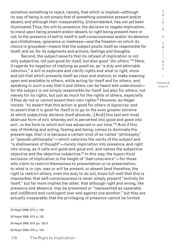somehow something to reject, namely, that which is implied—although its way of being is not simply that of something somehow present and/or absent, and although their inseparability, *Untrennbarkeit*, has not yet been illuminated. Thus, the will-to-presence, the decision to negate implication, to insist upon being present and/or absent, to right being present-here or not, to the presence of self to itself in self-consciousness and/or its absence *qua* childishness, ignorance or madness—and the freedom on which its choice is grounded—means that the subject posits itself as responsible for itself; and so, for its judgments and actions, feelings and thoughts.

Second, the subject asserts that its refusal of implication is not only subjective, not just good *for itself*, but also good "*for others*."52 Here, it regards its negation of implying as positive, as "a *duty and admirable intention*," a will to explicate and clarify rights and what is right, show and tell that which presents itself as clear and distinct, to make meaning open and available to others, while acting for itself and for others, and speaking in such a way that it and others can be heard and understood for the subject is not simply responsible for itself, but also for others; not merely for its rights, but just as much for the rights of others, especially if they do not or cannot assert their own rights.<sup>53</sup> However, as Hegel insists: "to assert that this action is good for *others* is *hypocrisy*; and to assert that it is good for itself is to go to the even greater extreme at which *subjectivity declares itself absolute*…[And] this last and most abstruse form of evil, whereby evil is perverted into good and good into evil…is the form to which evil has advanced in our time."54 And if this way of thinking and acting, feeling and being, comes to dominate the present age, then it is because a certain kind of so-called "philosophy" or "pseudo-philosophy"—which valorizes the vanity of the subject and "a shallowness of thought"—twists implication into presence, and right into wrong, as it calls evil good and good evil, and names the subjective objective and the objective subjective.55 In this way, the hypocritical exclusion of implication is the height of "*bad conscience*"—for those who claim to restrict themselves to presentation or re-presentation, to what is or can, was or will be present, or absent (and therefore, the right to restrict others, even the duty to do so), know full-well that this is impossible; that self-consciousness is never simply present "entirely for itself," but far more implies the other; that although right and wrong, like presence and absence, may be presented or "represented as *separable*, and *indifferent* and *contingent* over and against one another," but they are actually *inseparable*; that the privileging of presence cannot be limited

52 Hegel 2009, XIV, p. 122. 53 Hegel 2009, XIV, p. 122. 54 Hegel 2009, XIV, pp. 122-3. 55 Hegel 2009, XIV, p. 123.

C R I T I Q U E / Volume 8

C R  $\mathbf{I}$ S I S &

Issue 2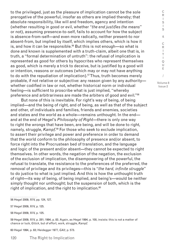to the privileged, just as the pleasure of implication cannot be the sole prerogative of the powerful, insofar as others are implied thereby; that absolute responsibility, like will and freedom, agency and intention (whether resulting in good or evil, whether "*the end justifies the means*" or not), assuming presence-to-self, fails to account for how the subject is absence-from-self—and even more radically, neither present-to nor absent-from, but implied by itself, which implies others, which is how it is, and how it can be responsible.<sup>56</sup> But this is not enough-so what is done and known is supplemented with a truth-claim, albeit one that is, in truth, a "formal determination of untruth": the refusal of implication is represented as good for others by hypocrites who represent themselves as good, which is merely a trick to deceive, but is justified by a good will or intention, reasons or outcomes (which may or may not have anything to do with the repudiation of implication).57 Thus, truth becomes merely probable, if not relative or subjective: any reason given by any authority whether codified in law or not, whether historical norm or individual feeling—is sufficient to proscribe what is just implied, "whereby preference and arbitrariness are made the arbiters of good and evil."58

But none of this is inevitable. For right's way of being, of being implied—and the being of right, and of being, as well as that of the subject and other, of individuals and families, friends and enemies, societies and states and the world as a whole—remains unthought. In the end and at the end of Hegel's *Philosophy of Right*—there is only one way to right the wrongs that have been, are being, and will be done to right, namely, struggle, *Kampf*. 59 For those who seek to exclude implication, to assert their privilege and power and preference in order to demand that the world conform to the philosophy of presence and/or absent, to force right into the Procrustean bed of translation, and the language and logic of the present and/or absent—they cannot be expected to right themselves. In other words, the negation of the negation, the exclusion of the exclusion of implication, the disempowering of the powerful, the refusal to translate, the resistance to the preferences of the preferred, the removal of privilege and its privileges—this is "*the hard, infinite struggle*" to do justice to what is just implied. And this is how the unthought truth of right—its way of being, of being implied, and being's—would be neither simply thought nor unthought; but the suspension of both, which is the right of implication, and the right to implication. $60$ 

56 Hegel 2009, XIV, pp. 124, 127.

57 Hegel 2009, XIV, p. 125.

58 Hegel 2009, XIV, p. 125.

59 Hegel 2009, XIV, p. 281; 1994, p. 83. Again, as Hegel 1994, p. 100, insists: this is not a matter of chance or luck, *Glück*, but of effort, work, struggle, *Kampf*.

60 Hegel 1994, p. 83; Heidegger 1977, *GA2*, p. 573.

I S I S & C R I T I Q U E / Volume 8 Issue 2

C R